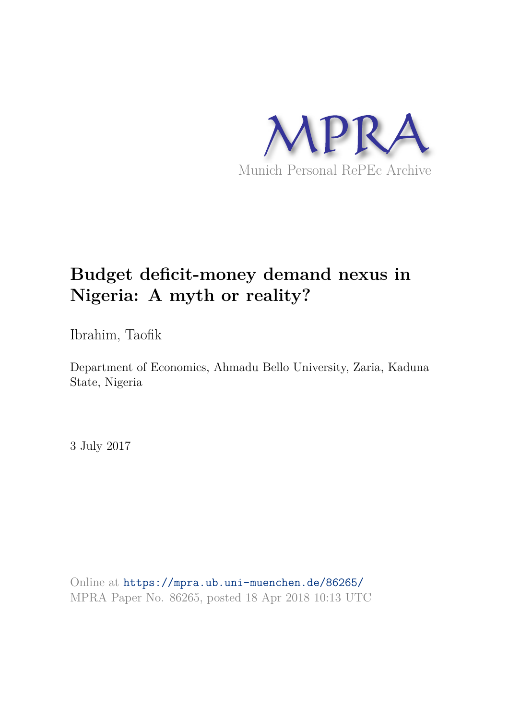

# **Budget deficit-money demand nexus in Nigeria: A myth or reality?**

Ibrahim, Taofik

Department of Economics, Ahmadu Bello University, Zaria, Kaduna State, Nigeria

3 July 2017

Online at https://mpra.ub.uni-muenchen.de/86265/ MPRA Paper No. 86265, posted 18 Apr 2018 10:13 UTC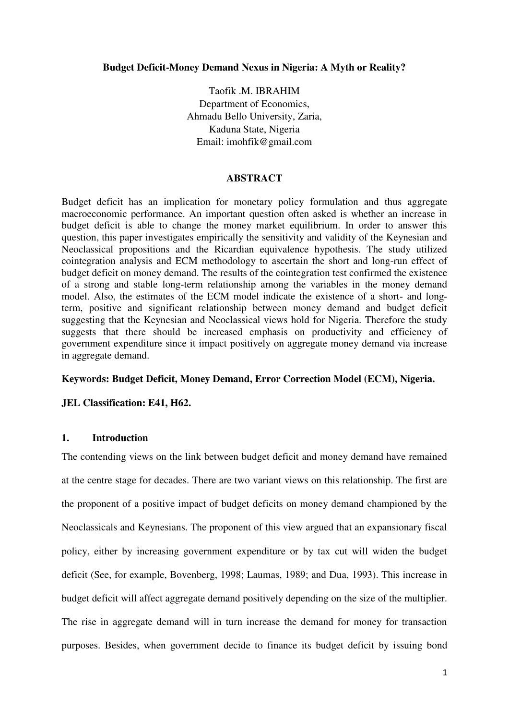#### **Budget Deficit-Money Demand Nexus in Nigeria: A Myth or Reality?**

Taofik .M. IBRAHIM Department of Economics, Ahmadu Bello University, Zaria, Kaduna State, Nigeria Email: imohfik@gmail.com

#### **ABSTRACT**

Budget deficit has an implication for monetary policy formulation and thus aggregate macroeconomic performance. An important question often asked is whether an increase in budget deficit is able to change the money market equilibrium. In order to answer this question, this paper investigates empirically the sensitivity and validity of the Keynesian and Neoclassical propositions and the Ricardian equivalence hypothesis. The study utilized cointegration analysis and ECM methodology to ascertain the short and long-run effect of budget deficit on money demand. The results of the cointegration test confirmed the existence of a strong and stable long-term relationship among the variables in the money demand model. Also, the estimates of the ECM model indicate the existence of a short- and longterm, positive and significant relationship between money demand and budget deficit suggesting that the Keynesian and Neoclassical views hold for Nigeria. Therefore the study suggests that there should be increased emphasis on productivity and efficiency of government expenditure since it impact positively on aggregate money demand via increase in aggregate demand.

#### **Keywords: Budget Deficit, Money Demand, Error Correction Model (ECM), Nigeria.**

# **JEL Classification: E41, H62.**

# **1. Introduction**

The contending views on the link between budget deficit and money demand have remained at the centre stage for decades. There are two variant views on this relationship. The first are the proponent of a positive impact of budget deficits on money demand championed by the Neoclassicals and Keynesians. The proponent of this view argued that an expansionary fiscal policy, either by increasing government expenditure or by tax cut will widen the budget deficit (See, for example, Bovenberg, 1998; Laumas, 1989; and Dua, 1993). This increase in budget deficit will affect aggregate demand positively depending on the size of the multiplier. The rise in aggregate demand will in turn increase the demand for money for transaction purposes. Besides, when government decide to finance its budget deficit by issuing bond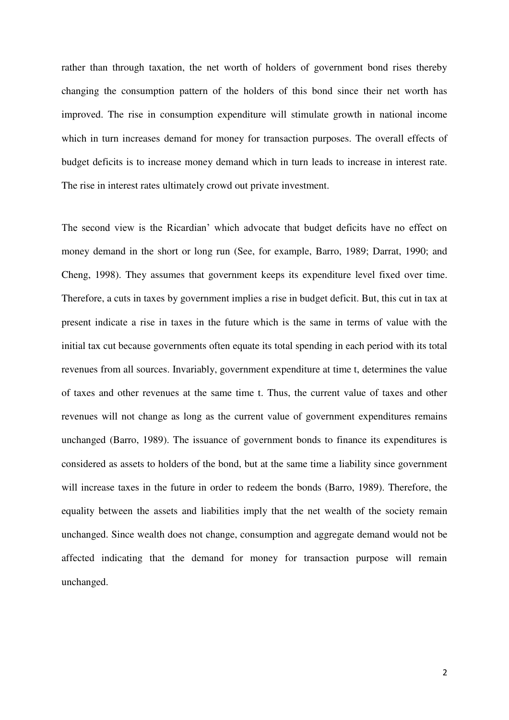rather than through taxation, the net worth of holders of government bond rises thereby changing the consumption pattern of the holders of this bond since their net worth has improved. The rise in consumption expenditure will stimulate growth in national income which in turn increases demand for money for transaction purposes. The overall effects of budget deficits is to increase money demand which in turn leads to increase in interest rate. The rise in interest rates ultimately crowd out private investment.

The second view is the Ricardian' which advocate that budget deficits have no effect on money demand in the short or long run (See, for example, Barro, 1989; Darrat, 1990; and Cheng, 1998). They assumes that government keeps its expenditure level fixed over time. Therefore, a cuts in taxes by government implies a rise in budget deficit. But, this cut in tax at present indicate a rise in taxes in the future which is the same in terms of value with the initial tax cut because governments often equate its total spending in each period with its total revenues from all sources. Invariably, government expenditure at time t, determines the value of taxes and other revenues at the same time t. Thus, the current value of taxes and other revenues will not change as long as the current value of government expenditures remains unchanged (Barro, 1989). The issuance of government bonds to finance its expenditures is considered as assets to holders of the bond, but at the same time a liability since government will increase taxes in the future in order to redeem the bonds (Barro, 1989). Therefore, the equality between the assets and liabilities imply that the net wealth of the society remain unchanged. Since wealth does not change, consumption and aggregate demand would not be affected indicating that the demand for money for transaction purpose will remain unchanged.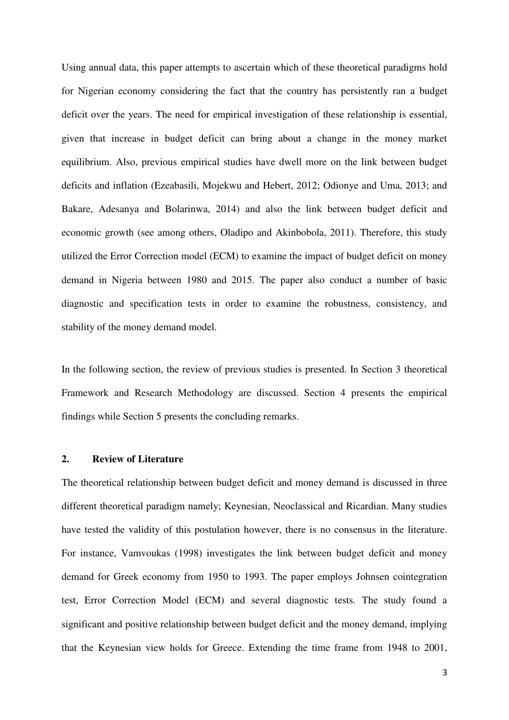Using annual data, this paper attempts to ascertain which of these theoretical paradigms hold for Nigerian economy considering the fact that the country has persistently ran a budget deficit over the years. The need for empirical investigation of these relationship is essential, given that increase in budget deficit can bring about a change in the money market equilibrium. Also, previous empirical studies have dwell more on the link between budget deficits and inflation (Ezeabasili, Mojekwu and Hebert, 2012; Odionye and Uma, 2013; and Bakare, Adesanya and Bolarinwa, 2014) and also the link between budget deficit and economic growth (see among others, Oladipo and Akinbobola, 2011). Therefore, this study utilized the Error Correction model (ECM) to examine the impact of budget deficit on money demand in Nigeria between 1980 and 2015. The paper also conduct a number of basic diagnostic and specification tests in order to examine the robustness, consistency, and stability of the money demand model.

In the following section, the review of previous studies is presented. In Section 3 theoretical Framework and Research Methodology are discussed. Section 4 presents the empirical findings while Section 5 presents the concluding remarks.

#### **2. Review of Literature**

The theoretical relationship between budget deficit and money demand is discussed in three different theoretical paradigm namely; Keynesian, Neoclassical and Ricardian. Many studies have tested the validity of this postulation however, there is no consensus in the literature. For instance, Vamvoukas (1998) investigates the link between budget deficit and money demand for Greek economy from 1950 to 1993. The paper employs Johnsen cointegration test, Error Correction Model (ECM) and several diagnostic tests. The study found a significant and positive relationship between budget deficit and the money demand, implying that the Keynesian view holds for Greece. Extending the time frame from 1948 to 2001,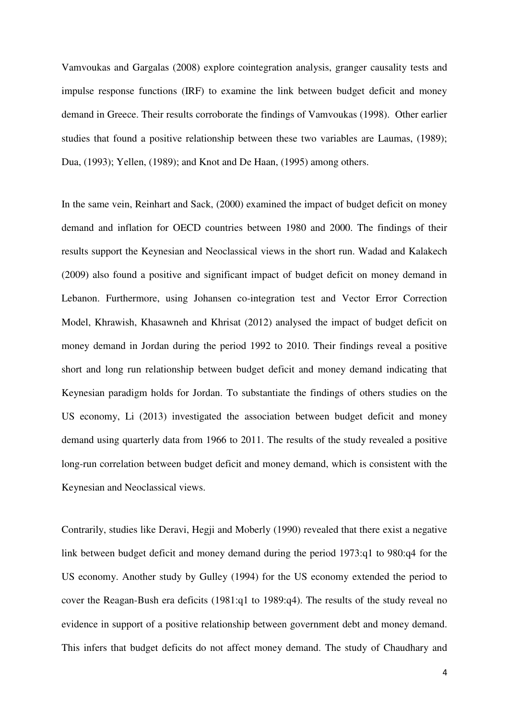Vamvoukas and Gargalas (2008) explore cointegration analysis, granger causality tests and impulse response functions (IRF) to examine the link between budget deficit and money demand in Greece. Their results corroborate the findings of Vamvoukas (1998). Other earlier studies that found a positive relationship between these two variables are Laumas, (1989); Dua, (1993); Yellen, (1989); and Knot and De Haan, (1995) among others.

In the same vein, Reinhart and Sack, (2000) examined the impact of budget deficit on money demand and inflation for OECD countries between 1980 and 2000. The findings of their results support the Keynesian and Neoclassical views in the short run. Wadad and Kalakech (2009) also found a positive and significant impact of budget deficit on money demand in Lebanon. Furthermore, using Johansen co-integration test and Vector Error Correction Model, Khrawish, Khasawneh and Khrisat (2012) analysed the impact of budget deficit on money demand in Jordan during the period 1992 to 2010. Their findings reveal a positive short and long run relationship between budget deficit and money demand indicating that Keynesian paradigm holds for Jordan. To substantiate the findings of others studies on the US economy, Li (2013) investigated the association between budget deficit and money demand using quarterly data from 1966 to 2011. The results of the study revealed a positive long-run correlation between budget deficit and money demand, which is consistent with the Keynesian and Neoclassical views.

Contrarily, studies like Deravi, Hegji and Moberly (1990) revealed that there exist a negative link between budget deficit and money demand during the period 1973:q1 to 980:q4 for the US economy. Another study by Gulley (1994) for the US economy extended the period to cover the Reagan-Bush era deficits (1981:q1 to 1989:q4). The results of the study reveal no evidence in support of a positive relationship between government debt and money demand. This infers that budget deficits do not affect money demand. The study of Chaudhary and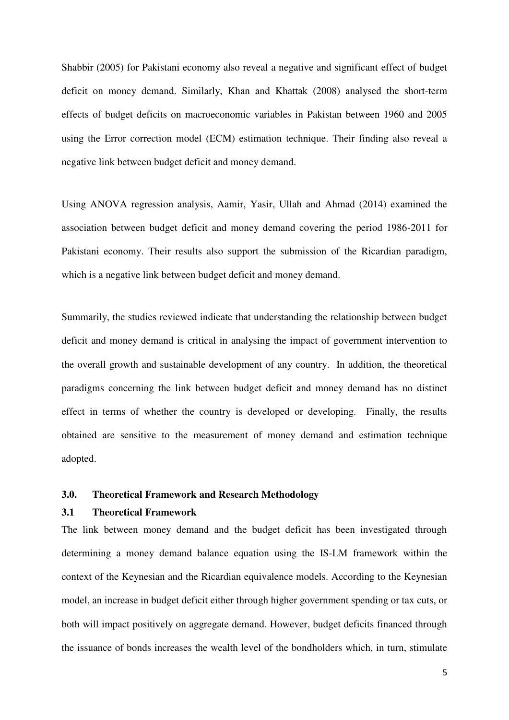Shabbir (2005) for Pakistani economy also reveal a negative and significant effect of budget deficit on money demand. Similarly, Khan and Khattak (2008) analysed the short-term effects of budget deficits on macroeconomic variables in Pakistan between 1960 and 2005 using the Error correction model (ECM) estimation technique. Their finding also reveal a negative link between budget deficit and money demand.

Using ANOVA regression analysis, Aamir, Yasir, Ullah and Ahmad (2014) examined the association between budget deficit and money demand covering the period 1986-2011 for Pakistani economy. Their results also support the submission of the Ricardian paradigm, which is a negative link between budget deficit and money demand.

Summarily, the studies reviewed indicate that understanding the relationship between budget deficit and money demand is critical in analysing the impact of government intervention to the overall growth and sustainable development of any country. In addition, the theoretical paradigms concerning the link between budget deficit and money demand has no distinct effect in terms of whether the country is developed or developing. Finally, the results obtained are sensitive to the measurement of money demand and estimation technique adopted.

#### **3.0. Theoretical Framework and Research Methodology**

#### **3.1 Theoretical Framework**

The link between money demand and the budget deficit has been investigated through determining a money demand balance equation using the IS-LM framework within the context of the Keynesian and the Ricardian equivalence models. According to the Keynesian model, an increase in budget deficit either through higher government spending or tax cuts, or both will impact positively on aggregate demand. However, budget deficits financed through the issuance of bonds increases the wealth level of the bondholders which, in turn, stimulate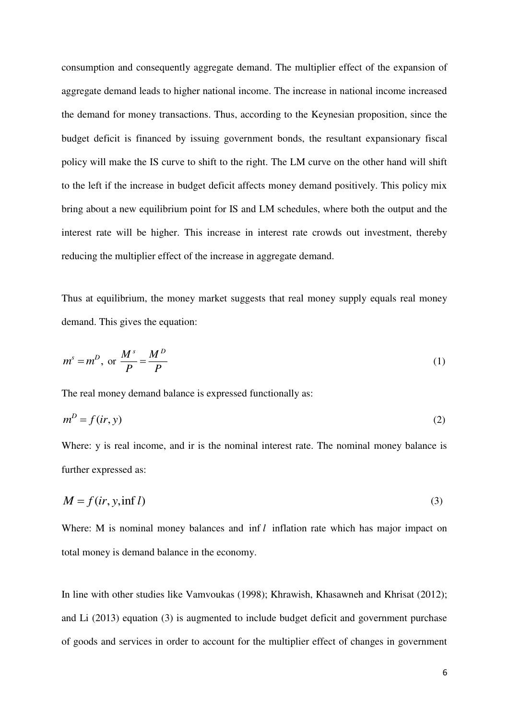consumption and consequently aggregate demand. The multiplier effect of the expansion of aggregate demand leads to higher national income. The increase in national income increased the demand for money transactions. Thus, according to the Keynesian proposition, since the budget deficit is financed by issuing government bonds, the resultant expansionary fiscal policy will make the IS curve to shift to the right. The LM curve on the other hand will shift to the left if the increase in budget deficit affects money demand positively. This policy mix bring about a new equilibrium point for IS and LM schedules, where both the output and the interest rate will be higher. This increase in interest rate crowds out investment, thereby reducing the multiplier effect of the increase in aggregate demand.

Thus at equilibrium, the money market suggests that real money supply equals real money demand. This gives the equation:

$$
m^s = m^D, \text{ or } \frac{M^s}{P} = \frac{M^D}{P}
$$
 (1)

The real money demand balance is expressed functionally as:

$$
m^D = f(ir, y) \tag{2}
$$

Where: y is real income, and ir is the nominal interest rate. The nominal money balance is further expressed as:

$$
M = f(ir, y, \inf l) \tag{3}
$$

Where: M is nominal money balances and inf *l* inflation rate which has major impact on total money is demand balance in the economy.

In line with other studies like Vamvoukas (1998); Khrawish, Khasawneh and Khrisat (2012); and Li (2013) equation (3) is augmented to include budget deficit and government purchase of goods and services in order to account for the multiplier effect of changes in government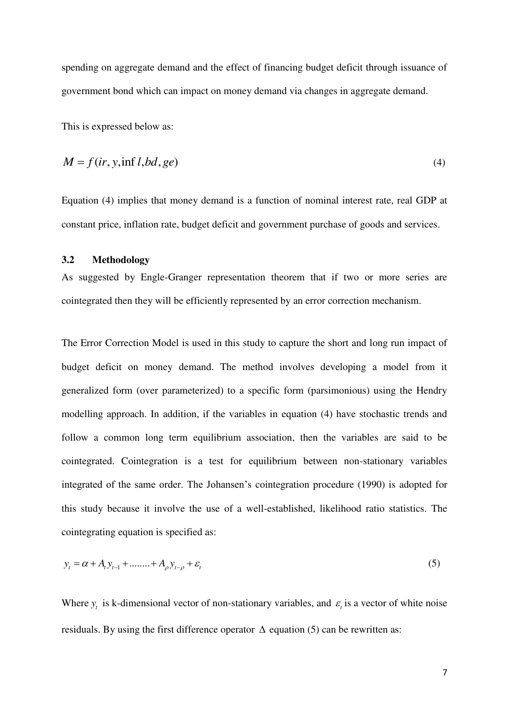spending on aggregate demand and the effect of financing budget deficit through issuance of government bond which can impact on money demand via changes in aggregate demand.

This is expressed below as:

$$
M = f(ir, y, \inf l, bd, ge) \tag{4}
$$

Equation (4) implies that money demand is a function of nominal interest rate, real GDP at constant price, inflation rate, budget deficit and government purchase of goods and services.

# **3.2 Methodology**

As suggested by Engle-Granger representation theorem that if two or more series are cointegrated then they will be efficiently represented by an error correction mechanism.

The Error Correction Model is used in this study to capture the short and long run impact of budget deficit on money demand. The method involves developing a model from it generalized form (over parameterized) to a specific form (parsimonious) using the Hendry modelling approach. In addition, if the variables in equation (4) have stochastic trends and follow a common long term equilibrium association, then the variables are said to be cointegrated. Cointegration is a test for equilibrium between non-stationary variables integrated of the same order. The Johansen's cointegration procedure (1990) is adopted for this study because it involve the use of a well-established, likelihood ratio statistics. The cointegrating equation is specified as:

$$
y_t = \alpha + A_t y_{t-1} + \dots + A_{\rho} y_{t-\rho} + \varepsilon_t
$$
\n(5)

Where  $y_t$  is k-dimensional vector of non-stationary variables, and  $\varepsilon_t$  is a vector of white noise residuals. By using the first difference operator  $\Delta$  equation (5) can be rewritten as: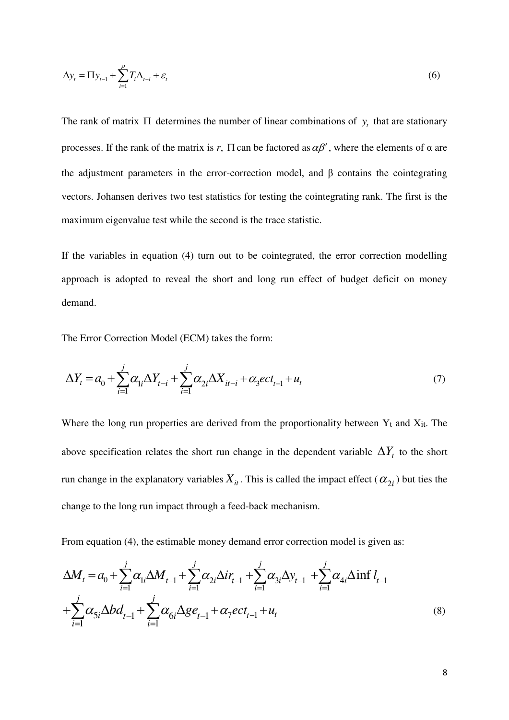$$
\Delta y_t = \Pi y_{t-1} + \sum_{i=1}^{\rho} T_i \Delta_{t-i} + \varepsilon_t \tag{6}
$$

The rank of matrix  $\Pi$  determines the number of linear combinations of  $y_t$  that are stationary processes. If the rank of the matrix is r,  $\Pi$  can be factored as  $\alpha\beta'$ , where the elements of  $\alpha$  are the adjustment parameters in the error-correction model, and β contains the cointegrating vectors. Johansen derives two test statistics for testing the cointegrating rank. The first is the maximum eigenvalue test while the second is the trace statistic.

If the variables in equation (4) turn out to be cointegrated, the error correction modelling approach is adopted to reveal the short and long run effect of budget deficit on money demand.

The Error Correction Model (ECM) takes the form:

$$
\Delta Y_t = a_0 + \sum_{i=1}^{j} \alpha_{1i} \Delta Y_{t-i} + \sum_{i=1}^{j} \alpha_{2i} \Delta X_{it-i} + \alpha_3 ect_{t-1} + u_t
$$
\n(7)

Where the long run properties are derived from the proportionality between  $Y_t$  and  $X_{it}$ . The above specification relates the short run change in the dependent variable  $\Delta Y_t$  to the short run change in the explanatory variables  $X_{it}$ . This is called the impact effect  $(\alpha_{2i})$  but ties the change to the long run impact through a feed-back mechanism.

From equation (4), the estimable money demand error correction model is given as:

$$
\Delta M_{t} = a_{0} + \sum_{i=1}^{j} \alpha_{1i} \Delta M_{t-1} + \sum_{i=1}^{j} \alpha_{2i} \Delta i r_{t-1} + \sum_{i=1}^{j} \alpha_{3i} \Delta y_{t-1} + \sum_{i=1}^{j} \alpha_{4i} \Delta \inf l_{t-1} + \sum_{i=1}^{j} \alpha_{5i} \Delta b d_{t-1} + \sum_{i=1}^{j} \alpha_{6i} \Delta g e_{t-1} + \alpha_{7} e c t_{t-1} + u_{t}
$$
\n(8)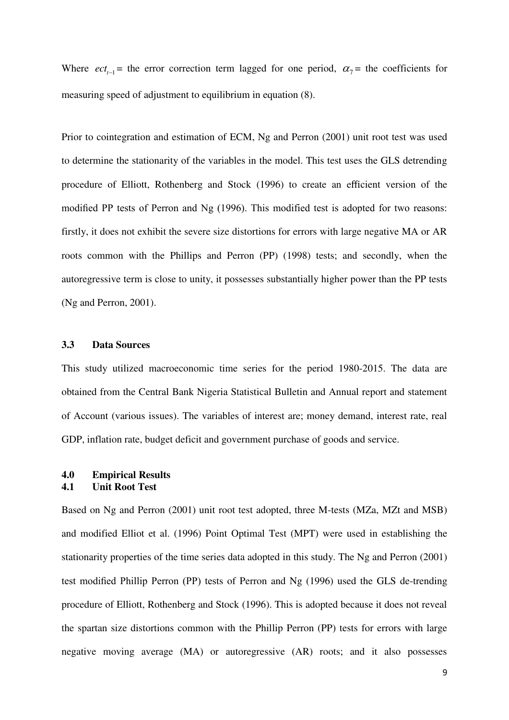Where  $ect_{t-1}$  = the error correction term lagged for one period,  $\alpha_7$  = the coefficients for measuring speed of adjustment to equilibrium in equation (8).

Prior to cointegration and estimation of ECM, Ng and Perron (2001) unit root test was used to determine the stationarity of the variables in the model. This test uses the GLS detrending procedure of Elliott, Rothenberg and Stock (1996) to create an efficient version of the modified PP tests of Perron and Ng (1996). This modified test is adopted for two reasons: firstly, it does not exhibit the severe size distortions for errors with large negative MA or AR roots common with the Phillips and Perron (PP) (1998) tests; and secondly, when the autoregressive term is close to unity, it possesses substantially higher power than the PP tests (Ng and Perron, 2001).

# **3.3 Data Sources**

This study utilized macroeconomic time series for the period 1980-2015. The data are obtained from the Central Bank Nigeria Statistical Bulletin and Annual report and statement of Account (various issues). The variables of interest are; money demand, interest rate, real GDP, inflation rate, budget deficit and government purchase of goods and service.

# **4.0 Empirical Results 4.1 Unit Root Test**

Based on Ng and Perron (2001) unit root test adopted, three M-tests (MZa, MZt and MSB) and modified Elliot et al. (1996) Point Optimal Test (MPT) were used in establishing the stationarity properties of the time series data adopted in this study. The Ng and Perron (2001) test modified Phillip Perron (PP) tests of Perron and Ng (1996) used the GLS de-trending procedure of Elliott, Rothenberg and Stock (1996). This is adopted because it does not reveal the spartan size distortions common with the Phillip Perron (PP) tests for errors with large negative moving average (MA) or autoregressive (AR) roots; and it also possesses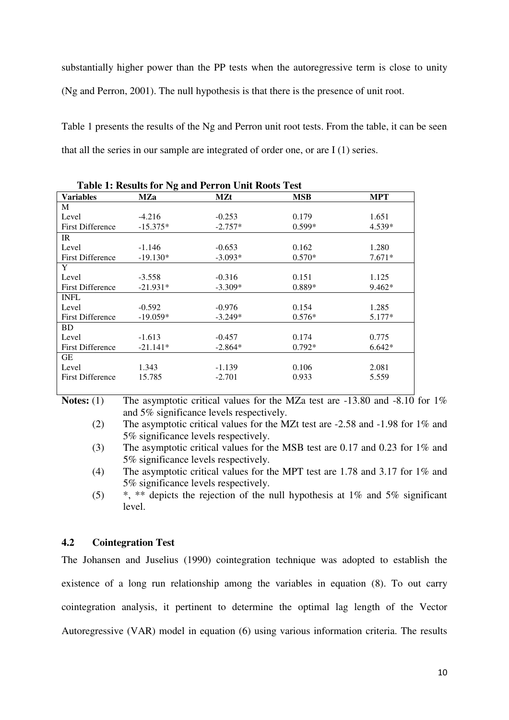substantially higher power than the PP tests when the autoregressive term is close to unity (Ng and Perron, 2001). The null hypothesis is that there is the presence of unit root.

Table 1 presents the results of the Ng and Perron unit root tests. From the table, it can be seen that all the series in our sample are integrated of order one, or are I (1) series.

| <b>Table 1: Results for Ng and Perron Unit Roots Test</b> |            |            |            |            |  |
|-----------------------------------------------------------|------------|------------|------------|------------|--|
| <b>Variables</b>                                          | MZa        | <b>MZt</b> | <b>MSB</b> | <b>MPT</b> |  |
| M                                                         |            |            |            |            |  |
| Level                                                     | $-4.216$   | $-0.253$   | 0.179      | 1.651      |  |
| <b>First Difference</b>                                   | $-15.375*$ | $-2.757*$  | $0.599*$   | $4.539*$   |  |
| IR                                                        |            |            |            |            |  |
| Level                                                     | $-1.146$   | $-0.653$   | 0.162      | 1.280      |  |
| <b>First Difference</b>                                   | $-19.130*$ | $-3.093*$  | $0.570*$   | $7.671*$   |  |
| Y                                                         |            |            |            |            |  |
| Level                                                     | $-3.558$   | $-0.316$   | 0.151      | 1.125      |  |
| <b>First Difference</b>                                   | $-21.931*$ | $-3.309*$  | $0.889*$   | $9.462*$   |  |
| <b>INFL</b>                                               |            |            |            |            |  |
| Level                                                     | $-0.592$   | $-0.976$   | 0.154      | 1.285      |  |
| <b>First Difference</b>                                   | $-19.059*$ | $-3.249*$  | $0.576*$   | $5.177*$   |  |
| BD.                                                       |            |            |            |            |  |
| Level                                                     | $-1.613$   | $-0.457$   | 0.174      | 0.775      |  |
| <b>First Difference</b>                                   | $-21.141*$ | $-2.864*$  | $0.792*$   | $6.642*$   |  |
| GЕ                                                        |            |            |            |            |  |
| Level                                                     | 1.343      | $-1.139$   | 0.106      | 2.081      |  |
| <b>First Difference</b>                                   | 15.785     | $-2.701$   | 0.933      | 5.559      |  |
|                                                           |            |            |            |            |  |

**Notes:** (1) The asymptotic critical values for the MZa test are -13.80 and -8.10 for 1% and 5% significance levels respectively.

- (3) The asymptotic critical values for the MSB test are 0.17 and 0.23 for 1% and 5% significance levels respectively.
- (4) The asymptotic critical values for the MPT test are 1.78 and 3.17 for 1% and 5% significance levels respectively.

(5)  $*$ ,  $**$  depicts the rejection of the null hypothesis at 1% and 5% significant level.

# **4.2 Cointegration Test**

The Johansen and Juselius (1990) cointegration technique was adopted to establish the existence of a long run relationship among the variables in equation (8). To out carry cointegration analysis, it pertinent to determine the optimal lag length of the Vector Autoregressive (VAR) model in equation (6) using various information criteria. The results

<sup>(2)</sup> The asymptotic critical values for the MZt test are -2.58 and -1.98 for 1% and 5% significance levels respectively.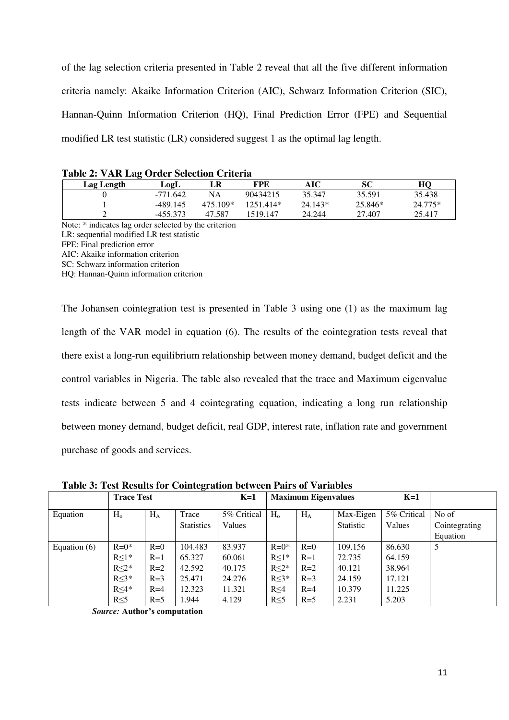of the lag selection criteria presented in Table 2 reveal that all the five different information criteria namely: Akaike Information Criterion (AIC), Schwarz Information Criterion (SIC), Hannan-Quinn Information Criterion (HQ), Final Prediction Error (FPE) and Sequential modified LR test statistic (LR) considered suggest 1 as the optimal lag length.

| Table 2. VAIN Dag OT act belection Criteria |            |          |           |           |           |         |
|---------------------------------------------|------------|----------|-----------|-----------|-----------|---------|
| Lag Length                                  | LogL       | LR       | FPE       | AIC       | SС        | HО      |
|                                             | $-771.642$ | NA       | 90434215  | 35.347    | 35.591    | 35.438  |
|                                             | -489.145   | 475 109* | 1251 414* | $24.143*$ | $25.846*$ | 24.775* |
|                                             | $-455.373$ | 47.587   | 1519.147  | 24.244    | 27.407    | 25.417  |

|  |  | Table 2: VAR Lag Order Selection Criteria |  |
|--|--|-------------------------------------------|--|
|  |  |                                           |  |

Note: \* indicates lag order selected by the criterion

LR: sequential modified LR test statistic

FPE: Final prediction error

AIC: Akaike information criterion

SC: Schwarz information criterion

HQ: Hannan-Quinn information criterion

The Johansen cointegration test is presented in Table 3 using one (1) as the maximum lag length of the VAR model in equation (6). The results of the cointegration tests reveal that there exist a long-run equilibrium relationship between money demand, budget deficit and the control variables in Nigeria. The table also revealed that the trace and Maximum eigenvalue tests indicate between 5 and 4 cointegrating equation, indicating a long run relationship between money demand, budget deficit, real GDP, interest rate, inflation rate and government purchase of goods and services.

**Trace Test K=1 Maximum Eigenvalues K=1** Equation  $H_o$   $H_A$  Trace **Statistics** 5% Critical Values  $H_0$  |  $H_A$  | Max-Eigen Statistic 5% Critical Values No of Cointegrating Equation Equation (6)  $\left| \right|$  R=0<sup>\*</sup> R≤1\* R≤2\* R≤3\* R≤4\* R≤5  $R=0$  $R=1$  $R=2$  $R=3$  $R=4$  $R=5$ 104.483 65.327 42.592 25.471 12.323 1.944 83.937 60.061 40.175 24.276 11.321 4.129  $R=0*$ R≤1\* R≤2\* R≤3\* R≤4 R≤5  $R=0$  $R=1$  $R=2$  $R=3$  $R=4$  $R=5$ 109.156 72.735 40.121 24.159 10.379 2.231 86.630 64.159 38.964 17.121 11.225 5.203 5

**Table 3: Test Results for Cointegration between Pairs of Variables** 

*Source:* **Author's computation**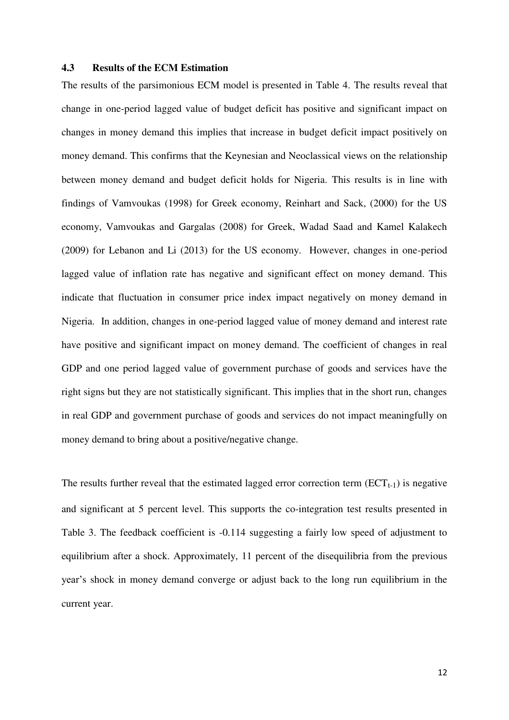#### **4.3 Results of the ECM Estimation**

The results of the parsimonious ECM model is presented in Table 4. The results reveal that change in one-period lagged value of budget deficit has positive and significant impact on changes in money demand this implies that increase in budget deficit impact positively on money demand. This confirms that the Keynesian and Neoclassical views on the relationship between money demand and budget deficit holds for Nigeria. This results is in line with findings of Vamvoukas (1998) for Greek economy, Reinhart and Sack, (2000) for the US economy, Vamvoukas and Gargalas (2008) for Greek, Wadad Saad and Kamel Kalakech (2009) for Lebanon and Li (2013) for the US economy. However, changes in one-period lagged value of inflation rate has negative and significant effect on money demand. This indicate that fluctuation in consumer price index impact negatively on money demand in Nigeria. In addition, changes in one-period lagged value of money demand and interest rate have positive and significant impact on money demand. The coefficient of changes in real GDP and one period lagged value of government purchase of goods and services have the right signs but they are not statistically significant. This implies that in the short run, changes in real GDP and government purchase of goods and services do not impact meaningfully on money demand to bring about a positive/negative change.

The results further reveal that the estimated lagged error correction term  $(ECT<sub>t-1</sub>)$  is negative and significant at 5 percent level. This supports the co-integration test results presented in Table 3. The feedback coefficient is -0.114 suggesting a fairly low speed of adjustment to equilibrium after a shock. Approximately, 11 percent of the disequilibria from the previous year's shock in money demand converge or adjust back to the long run equilibrium in the current year.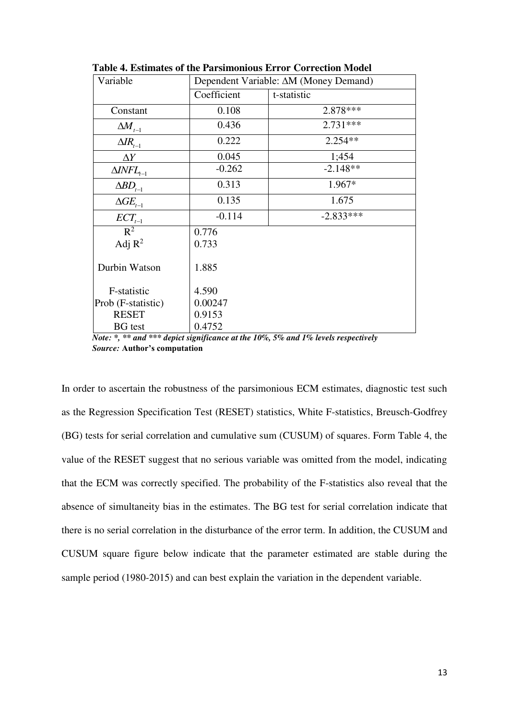| Variable              | Dependent Variable: $\Delta M$ (Money Demand) |             |  |
|-----------------------|-----------------------------------------------|-------------|--|
|                       | Coefficient                                   | t-statistic |  |
| Constant              | 0.108                                         | 2.878 ***   |  |
| $\Delta M_{_{t-1}}$   | 0.436                                         | $2.731***$  |  |
| $\Delta\!_{t-1}$      | 0.222                                         | $2.254**$   |  |
| $\Delta Y$            | 0.045                                         | 1;454       |  |
| $\Delta INFL_{t-1}$   | $-0.262$                                      | $-2.148**$  |  |
| $\Delta BD_{t-1}$     | 0.313                                         | 1.967*      |  |
| $\Delta G E_{_{t-1}}$ | 0.135                                         | 1.675       |  |
| $ECT_{t-1}$           | $-0.114$                                      | $-2.833***$ |  |
| $R^2$                 | 0.776                                         |             |  |
| Adj $R^2$             | 0.733                                         |             |  |
| Durbin Watson         | 1.885                                         |             |  |
| F-statistic           | 4.590                                         |             |  |
| Prob (F-statistic)    | 0.00247                                       |             |  |
| <b>RESET</b>          | 0.9153                                        |             |  |
| <b>BG</b> test        | 0.4752                                        |             |  |

**Table 4. Estimates of the Parsimonious Error Correction Model**

*Note: \*, \*\* and \*\*\* depict significance at the 10%, 5% and 1% levels respectively Source:* **Author's computation**

In order to ascertain the robustness of the parsimonious ECM estimates, diagnostic test such as the Regression Specification Test (RESET) statistics, White F-statistics, Breusch-Godfrey (BG) tests for serial correlation and cumulative sum (CUSUM) of squares. Form Table 4, the value of the RESET suggest that no serious variable was omitted from the model, indicating that the ECM was correctly specified. The probability of the F-statistics also reveal that the absence of simultaneity bias in the estimates. The BG test for serial correlation indicate that there is no serial correlation in the disturbance of the error term. In addition, the CUSUM and CUSUM square figure below indicate that the parameter estimated are stable during the sample period (1980-2015) and can best explain the variation in the dependent variable.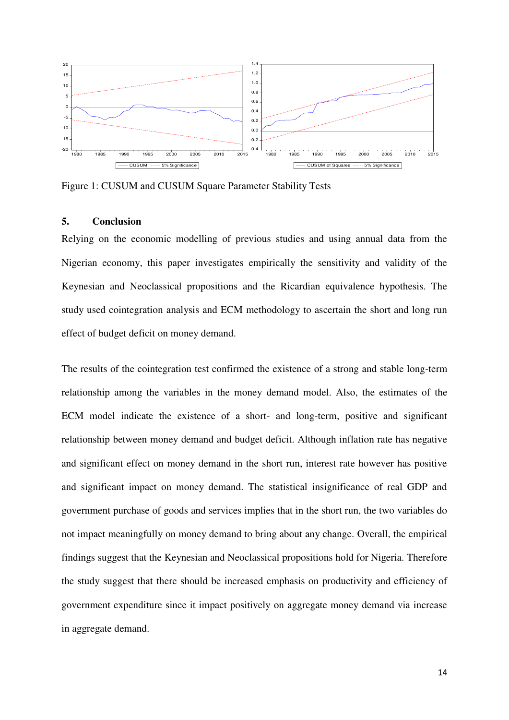

Figure 1: CUSUM and CUSUM Square Parameter Stability Tests

# **5. Conclusion**

Relying on the economic modelling of previous studies and using annual data from the Nigerian economy, this paper investigates empirically the sensitivity and validity of the Keynesian and Neoclassical propositions and the Ricardian equivalence hypothesis. The study used cointegration analysis and ECM methodology to ascertain the short and long run effect of budget deficit on money demand.

The results of the cointegration test confirmed the existence of a strong and stable long-term relationship among the variables in the money demand model. Also, the estimates of the ECM model indicate the existence of a short- and long-term, positive and significant relationship between money demand and budget deficit. Although inflation rate has negative and significant effect on money demand in the short run, interest rate however has positive and significant impact on money demand. The statistical insignificance of real GDP and government purchase of goods and services implies that in the short run, the two variables do not impact meaningfully on money demand to bring about any change. Overall, the empirical findings suggest that the Keynesian and Neoclassical propositions hold for Nigeria. Therefore the study suggest that there should be increased emphasis on productivity and efficiency of government expenditure since it impact positively on aggregate money demand via increase in aggregate demand.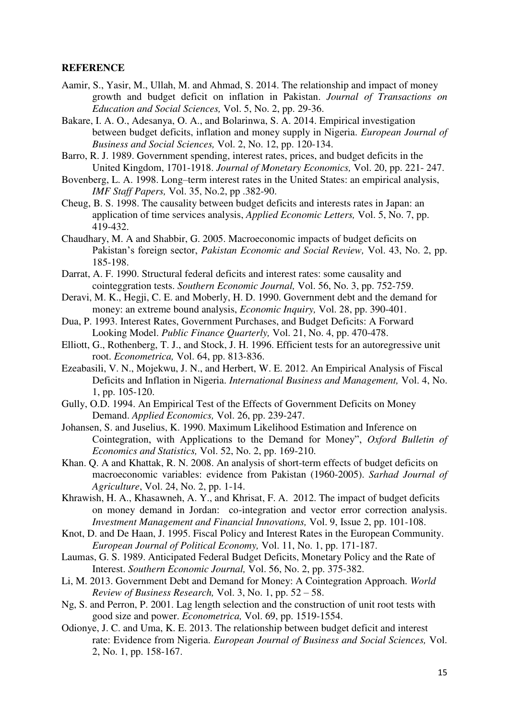#### **REFERENCE**

- Aamir, S., Yasir, M., Ullah, M. and Ahmad, S. 2014. The relationship and impact of money growth and budget deficit on inflation in Pakistan. *Journal of Transactions on Education and Social Sciences,* Vol. 5, No. 2, pp. 29-36.
- Bakare, I. A. O., Adesanya, O. A., and Bolarinwa, S. A. 2014. Empirical investigation between budget deficits, inflation and money supply in Nigeria. *European Journal of Business and Social Sciences,* Vol. 2, No. 12, pp. 120-134.
- Barro, R. J. 1989. Government spending, interest rates, prices, and budget deficits in the United Kingdom, 1701-1918. *Journal of Monetary Economics,* Vol. 20, pp. 221- 247.
- Bovenberg, L. A. 1998. Long–term interest rates in the United States: an empirical analysis, *IMF Staff Papers,* Vol. 35, No.2, pp .382-90.
- Cheug, B. S. 1998. The causality between budget deficits and interests rates in Japan: an application of time services analysis, *Applied Economic Letters,* Vol. 5, No. 7, pp. 419-432.
- Chaudhary, M. A and Shabbir, G. 2005. Macroeconomic impacts of budget deficits on Pakistan's foreign sector, *Pakistan Economic and Social Review,* Vol. 43, No. 2, pp. 185-198.
- Darrat, A. F. 1990. Structural federal deficits and interest rates: some causality and cointeggration tests. *Southern Economic Journal,* Vol. 56, No. 3, pp. 752-759.
- Deravi, M. K., Hegji, C. E. and Moberly, H. D. 1990. Government debt and the demand for money: an extreme bound analysis, *Economic Inquiry,* Vol. 28, pp. 390-401.
- Dua, P. 1993. Interest Rates, Government Purchases, and Budget Deficits: A Forward Looking Model. *Public Finance Quarterly,* Vol. 21, No. 4, pp. 470-478.
- Elliott, G., Rothenberg, T. J., and Stock, J. H. 1996. Efficient tests for an autoregressive unit root. *Econometrica,* Vol. 64, pp. 813-836.
- Ezeabasili, V. N., Mojekwu, J. N., and Herbert, W. E. 2012. An Empirical Analysis of Fiscal Deficits and Inflation in Nigeria. *International Business and Management,* Vol. 4, No. 1, pp. 105-120.
- Gully, O.D. 1994. An Empirical Test of the Effects of Government Deficits on Money Demand. *Applied Economics,* Vol. 26, pp. 239-247.
- Johansen, S. and Juselius, K. 1990. Maximum Likelihood Estimation and Inference on Cointegration, with Applications to the Demand for Money", *Oxford Bulletin of Economics and Statistics,* Vol. 52, No. 2, pp. 169-210.
- Khan. Q. A and Khattak, R. N. 2008. An analysis of short-term effects of budget deficits on macroeconomic variables: evidence from Pakistan (1960-2005). *Sarhad Journal of Agriculture*, Vol. 24, No. 2, pp. 1-14.
- Khrawish, H. A., Khasawneh, A. Y., and Khrisat, F. A. 2012. The impact of budget deficits on money demand in Jordan: co-integration and vector error correction analysis. *Investment Management and Financial Innovations,* Vol. 9, Issue 2, pp. 101-108.
- Knot, D. and De Haan, J. 1995. Fiscal Policy and Interest Rates in the European Community. *European Journal of Political Economy,* Vol. 11, No. 1, pp. 171-187.
- Laumas, G. S. 1989. Anticipated Federal Budget Deficits, Monetary Policy and the Rate of Interest. *Southern Economic Journal,* Vol. 56, No. 2, pp. 375-382.
- Li, M. 2013. Government Debt and Demand for Money: A Cointegration Approach. *World Review of Business Research,* Vol. 3, No. 1, pp. 52 – 58.
- Ng, S. and Perron, P. 2001. Lag length selection and the construction of unit root tests with good size and power. *Econometrica,* Vol. 69, pp. 1519-1554.
- Odionye, J. C. and Uma, K. E. 2013. The relationship between budget deficit and interest rate: Evidence from Nigeria. *European Journal of Business and Social Sciences,* Vol. 2, No. 1, pp. 158-167.